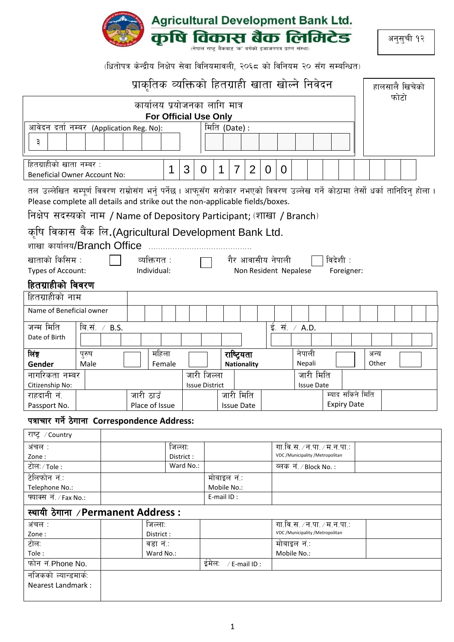

अनुसुची १२

(धितोपत्र केन्द्रीय निक्षेप सेवा विनियमावली, २०६८ को विनियम २० सँग सम्बन्धित)

|                                                                                                                                                                                                                                                                                        |                                                                                                                                                                |                      |  | प्राकृतिक व्यक्तिको हितग्राही खाता खोल्ने निवेदन              |           |           |                       |                           |                   |                    |                |               |                                   |                   |                    |               | हालसालै खिचेको |  |
|----------------------------------------------------------------------------------------------------------------------------------------------------------------------------------------------------------------------------------------------------------------------------------------|----------------------------------------------------------------------------------------------------------------------------------------------------------------|----------------------|--|---------------------------------------------------------------|-----------|-----------|-----------------------|---------------------------|-------------------|--------------------|----------------|---------------|-----------------------------------|-------------------|--------------------|---------------|----------------|--|
|                                                                                                                                                                                                                                                                                        |                                                                                                                                                                |                      |  | कार्यालय प्रयोजनका लागि मात्र<br><b>For Official Use Only</b> |           |           |                       |                           |                   |                    |                |               |                                   |                   |                    |               | फोटो           |  |
| आवेदन दर्ता नम्बर (Application Reg. No):                                                                                                                                                                                                                                               |                                                                                                                                                                |                      |  |                                                               |           |           |                       | मिति (Date):              |                   |                    |                |               |                                   |                   |                    |               |                |  |
| ३                                                                                                                                                                                                                                                                                      |                                                                                                                                                                |                      |  |                                                               |           |           |                       |                           |                   |                    |                |               |                                   |                   |                    |               |                |  |
| हितग्राहीको खाता नम्बर :<br><b>Beneficial Owner Account No:</b>                                                                                                                                                                                                                        |                                                                                                                                                                |                      |  |                                                               | 1         | 3         | 0                     | 1                         | $\overline{7}$    | 2                  | $\overline{0}$ | 0             |                                   |                   |                    |               |                |  |
| तल उल्लेखित सम्पूर्ण विवरण राम्रोसंग भर्नु पर्नेछ । आफूसँग सरोकार नभएको विवरण उल्लेख गर्ने कोठामा तेर्सो धर्का तानिदिनु होला ।<br>Please complete all details and strike out the non-applicable fields/boxes.<br>निक्षेप सदस्यको नाम / Name of Depository Participant; (शाखा / Branch) |                                                                                                                                                                |                      |  |                                                               |           |           |                       |                           |                   |                    |                |               |                                   |                   |                    |               |                |  |
|                                                                                                                                                                                                                                                                                        |                                                                                                                                                                |                      |  |                                                               |           |           |                       |                           |                   |                    |                |               |                                   |                   |                    |               |                |  |
| कृषि विकास बैंक लि.(Agricultural Development Bank Ltd.                                                                                                                                                                                                                                 |                                                                                                                                                                |                      |  |                                                               |           |           |                       |                           |                   |                    |                |               |                                   |                   |                    |               |                |  |
| शाखा कार्यालय/Branch Office                                                                                                                                                                                                                                                            |                                                                                                                                                                |                      |  |                                                               |           |           |                       |                           |                   |                    |                |               |                                   |                   |                    |               |                |  |
|                                                                                                                                                                                                                                                                                        | गैर आवासीय नेपाली<br>खाताको किसिम :<br>व्यक्तिगत :<br>विदेशी :<br>Types of Account:<br>Individual:<br>Non Resident Nepalese<br>Foreigner:<br>हितग्राहीको विवरण |                      |  |                                                               |           |           |                       |                           |                   |                    |                |               |                                   |                   |                    |               |                |  |
|                                                                                                                                                                                                                                                                                        |                                                                                                                                                                |                      |  |                                                               |           |           |                       |                           |                   |                    |                |               |                                   |                   |                    |               |                |  |
| हितग्राहीको नाम                                                                                                                                                                                                                                                                        |                                                                                                                                                                |                      |  |                                                               |           |           |                       |                           |                   |                    |                |               |                                   |                   |                    |               |                |  |
| Name of Beneficial owner                                                                                                                                                                                                                                                               |                                                                                                                                                                |                      |  |                                                               |           |           |                       |                           |                   |                    |                |               |                                   |                   |                    |               |                |  |
| जन्म मिति                                                                                                                                                                                                                                                                              |                                                                                                                                                                | बि.सं. $\angle$ B.S. |  |                                                               |           |           |                       |                           |                   |                    |                | ई. सं. / A.D. |                                   |                   |                    |               |                |  |
| Date of Birth                                                                                                                                                                                                                                                                          |                                                                                                                                                                |                      |  |                                                               |           |           |                       |                           |                   |                    |                |               |                                   |                   |                    |               |                |  |
| লিল<br>Gender                                                                                                                                                                                                                                                                          | पुरुष<br>Male                                                                                                                                                  |                      |  | महिला<br>Female                                               |           |           |                       |                           | राष्ट्रियता       | <b>Nationality</b> |                |               | नेपाली<br>Nepali                  |                   |                    | अन्य<br>Other |                |  |
| नागरिकता नम्बर                                                                                                                                                                                                                                                                         |                                                                                                                                                                |                      |  |                                                               |           |           | जारी जिल्ला           |                           |                   |                    |                |               |                                   | जारी मिति         |                    |               |                |  |
| Citizenship No:                                                                                                                                                                                                                                                                        |                                                                                                                                                                |                      |  |                                                               |           |           | <b>Issue District</b> |                           |                   |                    |                |               |                                   | <b>Issue Date</b> |                    |               |                |  |
| राहदानी नं.                                                                                                                                                                                                                                                                            |                                                                                                                                                                |                      |  | जारी ठाउँ                                                     |           |           |                       |                           | जारी मिति         |                    |                |               |                                   |                   | म्याद सकिने मिति   |               |                |  |
| Passport No.                                                                                                                                                                                                                                                                           |                                                                                                                                                                |                      |  | Place of Issue                                                |           |           |                       |                           | <b>Issue Date</b> |                    |                |               |                                   |                   | <b>Expiry Date</b> |               |                |  |
| पत्राचार गर्ने ठेगाना Correspondence Address:                                                                                                                                                                                                                                          |                                                                                                                                                                |                      |  |                                                               |           |           |                       |                           |                   |                    |                |               |                                   |                   |                    |               |                |  |
| राष्ट्र / Country                                                                                                                                                                                                                                                                      |                                                                                                                                                                |                      |  |                                                               |           |           |                       |                           |                   |                    |                |               |                                   |                   |                    |               |                |  |
| अंचल :                                                                                                                                                                                                                                                                                 |                                                                                                                                                                |                      |  |                                                               | जिल्ला:   |           |                       |                           |                   |                    |                |               | गा.वि.स. ∕ न.पा. ∕ म.न.पा.:       |                   |                    |               |                |  |
| Zone:                                                                                                                                                                                                                                                                                  |                                                                                                                                                                |                      |  |                                                               | District: |           |                       |                           |                   |                    |                |               | VDC / Municipality / Metropolitan |                   |                    |               |                |  |
| टोलः/Tole:                                                                                                                                                                                                                                                                             |                                                                                                                                                                |                      |  |                                                               |           | Ward No.: |                       |                           |                   |                    |                |               | ब्लक नं. / Block No.:             |                   |                    |               |                |  |
| टेलिफोन नं∴<br>Telephone No.:                                                                                                                                                                                                                                                          |                                                                                                                                                                |                      |  |                                                               |           |           |                       | मोबाइल नं∴<br>Mobile No.: |                   |                    |                |               |                                   |                   |                    |               |                |  |
| फ्याक्स नं. / Fax No.:                                                                                                                                                                                                                                                                 |                                                                                                                                                                |                      |  |                                                               |           |           |                       | E-mail ID:                |                   |                    |                |               |                                   |                   |                    |               |                |  |
| स्थायी ठेगाना ⁄Permanent Address :                                                                                                                                                                                                                                                     |                                                                                                                                                                |                      |  |                                                               |           |           |                       |                           |                   |                    |                |               |                                   |                   |                    |               |                |  |
| अंचल ∶                                                                                                                                                                                                                                                                                 |                                                                                                                                                                |                      |  | जिल्ला:                                                       |           |           |                       |                           |                   |                    |                |               | गा.वि.स.∠न.पा.∠म.न.पा.:           |                   |                    |               |                |  |
| Zone:                                                                                                                                                                                                                                                                                  |                                                                                                                                                                |                      |  | District:                                                     |           |           |                       |                           |                   |                    |                |               | VDC / Municipality / Metropolitan |                   |                    |               |                |  |
| टोल:                                                                                                                                                                                                                                                                                   |                                                                                                                                                                |                      |  | वडा नं∴                                                       |           |           |                       |                           |                   |                    |                |               | मोबाइल नं∴                        |                   |                    |               |                |  |
| Tole:                                                                                                                                                                                                                                                                                  |                                                                                                                                                                |                      |  | Ward No.:                                                     |           |           |                       |                           |                   |                    |                |               | Mobile No.:                       |                   |                    |               |                |  |
| फोन नं.Phone No.                                                                                                                                                                                                                                                                       |                                                                                                                                                                |                      |  |                                                               |           |           | ईमेल:                 |                           |                   | /E-mail ID:        |                |               |                                   |                   |                    |               |                |  |
| नजिकको ल्यान्डमार्क:                                                                                                                                                                                                                                                                   |                                                                                                                                                                |                      |  |                                                               |           |           |                       |                           |                   |                    |                |               |                                   |                   |                    |               |                |  |
| Nearest Landmark:                                                                                                                                                                                                                                                                      |                                                                                                                                                                |                      |  |                                                               |           |           |                       |                           |                   |                    |                |               |                                   |                   |                    |               |                |  |
|                                                                                                                                                                                                                                                                                        |                                                                                                                                                                |                      |  |                                                               |           |           |                       |                           |                   |                    |                |               |                                   |                   |                    |               |                |  |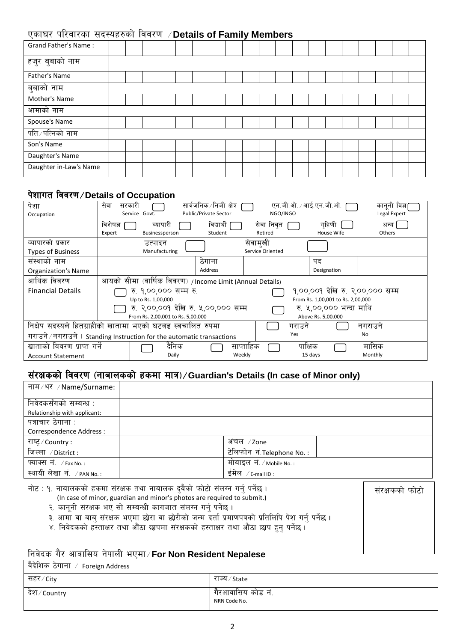## Psf3/ kl/jf/sf ;b:ox?sf] ljj/0f ÷**Details of Family Members**

| <b>Grand Father's Name:</b> |  |  |  |  |  |  |  |  |  |  |
|-----------------------------|--|--|--|--|--|--|--|--|--|--|
| हजुर बुबाको नाम             |  |  |  |  |  |  |  |  |  |  |
| Father's Name               |  |  |  |  |  |  |  |  |  |  |
| बुबाको नाम                  |  |  |  |  |  |  |  |  |  |  |
| Mother's Name               |  |  |  |  |  |  |  |  |  |  |
| आमाको नाम                   |  |  |  |  |  |  |  |  |  |  |
| Spouse's Name               |  |  |  |  |  |  |  |  |  |  |
| पति ∕ पत्निको नाम           |  |  |  |  |  |  |  |  |  |  |
| Son's Name                  |  |  |  |  |  |  |  |  |  |  |
| Daughter's Name             |  |  |  |  |  |  |  |  |  |  |
| Daughter in-Law's Name      |  |  |  |  |  |  |  |  |  |  |

#### <u>पेशागत विवरण ⁄ Details of Occupation</u>

| पेशा                                                                   | सरकारी<br>सेवा |                                   |       | सार्वजनिक /निजी क्षेत्र                                   |                                   |                  |         | एन.जी.ओ. ∕ आई.एन.जी.ओ.  | काननी विज्ञ                     |  |  |
|------------------------------------------------------------------------|----------------|-----------------------------------|-------|-----------------------------------------------------------|-----------------------------------|------------------|---------|-------------------------|---------------------------------|--|--|
| Occupation                                                             |                | Service Govt.                     |       | <b>Public/Private Sector</b>                              |                                   | NGO/INGO         |         |                         | Legal Expert                    |  |  |
|                                                                        | विशेषज्ञ       | व्यापारी                          |       | विद्यार्थी                                                |                                   | सेवा निवृत       |         | गहिणी                   | अन्य                            |  |  |
|                                                                        | Expert         | Businessperson                    |       | Student                                                   |                                   | Retired          |         | House Wife              | Others                          |  |  |
| व्यापारको प्रकार                                                       |                | उत्पादन                           |       |                                                           | सेवामुखी                          |                  |         |                         |                                 |  |  |
| <b>Types of Business</b>                                               |                | Manufacturing                     |       |                                                           |                                   | Service Oriented |         |                         |                                 |  |  |
| संस्थाको नाम                                                           |                |                                   |       | ठंगाना                                                    |                                   |                  |         | पद                      |                                 |  |  |
| <b>Organization's Name</b>                                             |                |                                   |       | Address                                                   |                                   |                  |         | Designation             |                                 |  |  |
| आर्थिक विवरण                                                           |                |                                   |       | आयको सीमा (वार्षिक विवरण) / Income Limit (Annual Details) |                                   |                  |         |                         |                                 |  |  |
| <b>Financial Details</b>                                               |                | रु. १,००,००० सम्म रु.             |       |                                                           |                                   |                  |         |                         | १,००,००१ देखि रु. २,००,००० सम्म |  |  |
|                                                                        |                | Up to Rs. 1,00,000                |       |                                                           | From Rs. 1,00,001 to Rs. 2,00,000 |                  |         |                         |                                 |  |  |
|                                                                        |                |                                   |       | रु. २,००,००१ देखि रु. ५,००,००० सम्म                       |                                   |                  |         | रु. ५,००,००० भन्दा माथि |                                 |  |  |
|                                                                        |                | From Rs. 2,00,001 to Rs. 5,00,000 |       |                                                           |                                   |                  |         | Above Rs. 5,00,000      |                                 |  |  |
| निक्षेप सदस्यले हितग्राहीको खातामा भएको घटबढ स्वचालित रुपमा            |                |                                   |       |                                                           |                                   |                  | गराउने  |                         | नगराउने                         |  |  |
| गराउने / नगराउने । Standing Instruction for the automatic transactions |                |                                   |       |                                                           |                                   |                  | Yes     |                         | No                              |  |  |
| खाताको विवरण प्राप्त गर्ने                                             |                |                                   | दैनिक |                                                           | साप्ताहिक                         |                  | पाक्षिक |                         | मासिक                           |  |  |
| <b>Account Statement</b>                                               |                |                                   | Daily |                                                           | Weekly                            |                  | 15 days |                         | Monthly                         |  |  |

## संरक्षकको विवरण (नाबालकको हकमा मात्र) / Guardian's Details (In case of Minor only)

| नाम / थर / Name/Surname:                | . .                           |
|-----------------------------------------|-------------------------------|
|                                         |                               |
| निवेदकसँगको सम्बन्ध :                   |                               |
| Relationship with applicant:            |                               |
| पत्राचार ठेगाना :                       |                               |
| Correspondence Address :                |                               |
| राष्ट्र / Country :                     | अंचल ⁄zone                    |
| जिल्ला ⊅District :                      | टेलिफोन नं.Telephone No.:     |
| फ्याक्स $\vec{\mathsf{n}}$ . / Fax No.: | मोबाइल नं $1$ /Mobile No.:    |
| स्थायी लेखा नं. / PAN No.:              | ईमेल<br>$\sqrt{}$ E-mail ID : |

| नोट : १. नाबालकको हकमा संरक्षक तथा नाबालक दुवैको फोटो संलग्न गर्न् पर्नेछ ।                                                                                                                                                                                                                                         | सरक्षकका फोटो |
|---------------------------------------------------------------------------------------------------------------------------------------------------------------------------------------------------------------------------------------------------------------------------------------------------------------------|---------------|
| (In case of minor, guardian and minor's photos are required to submit.)                                                                                                                                                                                                                                             |               |
| २. कानूनी संरक्षक भए सो सम्बन्धी कागजात संलग्न गर्न् पर्नेछ ।                                                                                                                                                                                                                                                       |               |
| ३. आमा वा बाब् संरक्षक भएमा छोरा वा छोरीको जन्म दर्ता प्रमाणपत्रको प्रतिलिपि पेश गर्न् पर्नेछ ।                                                                                                                                                                                                                     |               |
| ४. निवेदकको हस्ताक्षर तथा औंठा छापमा संरक्षकको हस्ताक्षर तथा औंठा छाप हुन् पर्नेछ ।                                                                                                                                                                                                                                 |               |
|                                                                                                                                                                                                                                                                                                                     |               |
| $\frac{1}{2}$ $\frac{1}{2}$ $\frac{1}{2}$ $\frac{1}{2}$ $\frac{1}{2}$ $\frac{1}{2}$ $\frac{1}{2}$ $\frac{1}{2}$ $\frac{1}{2}$ $\frac{1}{2}$ $\frac{1}{2}$ $\frac{1}{2}$ $\frac{1}{2}$ $\frac{1}{2}$ $\frac{1}{2}$ $\frac{1}{2}$ $\frac{1}{2}$ $\frac{1}{2}$ $\frac{1}{2}$ $\frac{1}{2}$ $\frac{1}{2}$ $\frac{1}{2}$ |               |

### lgj]bs u}/ cfjfl;o g]kfnL ePdf÷**For Non Resident Nepalese**

| । वैदेशिक ठेगाना ⁄ Foreign Address |                                   |  |
|------------------------------------|-----------------------------------|--|
| सहर ∕ Citv                         | राज्य ⁄ State                     |  |
| ंदेश ∕ Country                     | गैरआवासिय कोड नं.<br>NRN Code No. |  |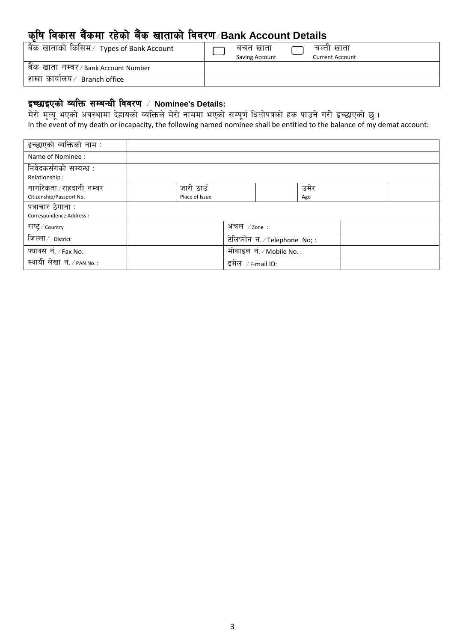# s[lif ljsf; a}+sdf /x]sf] a}+s vftfsf] ljj/0f÷**Bank Account Details**

| बैंक खाताको किसिम $\hspace{.08cm}/\hspace{.08cm}$ Types of Bank Account | बचत खाता<br>Saving Account | चल्ता खाता<br><b>Current Account</b> |
|-------------------------------------------------------------------------|----------------------------|--------------------------------------|
| बैंक खाता नम्बर/Bank Account Number                                     |                            |                                      |
| शखा कायोलय⁄ Branch office                                               |                            |                                      |

#### इच्छाइएको व्यक्ति सम्बन्धी विवरण / Nominee's Details:

त्र करने,<br>मेरो मृत्यू भएको अवस्थामा देहायको व्यक्तिले मेरो नाममा भएको सम्पूर्ण धितोपत्रको हक पाउने गरी इच्छाएको छु। In the event of my death or incapacity, the following named nominee shall be entitled to the balance of my demat account:

| इच्छाएको व्यक्तिको नाम :                      |                |                                            |      |  |
|-----------------------------------------------|----------------|--------------------------------------------|------|--|
| Name of Nominee :                             |                |                                            |      |  |
| निवेदकसँगको सम्बन्ध :                         |                |                                            |      |  |
| Relationship:                                 |                |                                            |      |  |
| नागरिकता ∕ राहदानी नम्बर                      | जारी ठाउँ      |                                            | उमेर |  |
| Citizenship/Passport No.                      | Place of Issue |                                            | Age  |  |
| पत्राचार ठेगाना :<br>Correspondence Address : |                |                                            |      |  |
| राष्ट्र / Country                             |                | अंचल $\angle$ zone :                       |      |  |
| जिल्ला ∕ <sub>District</sub>                  |                | टेलिफोन नं./Telephone No;:                 |      |  |
| फ्याक्स नं. / Fax No.                         |                | मोबाइल $\vec{\mathsf{H}}$ . / Mobile No. : |      |  |
| स्थायी लेखा नं. / PAN No.:                    |                | इमेल / $\varepsilon$ -mail ID:             |      |  |